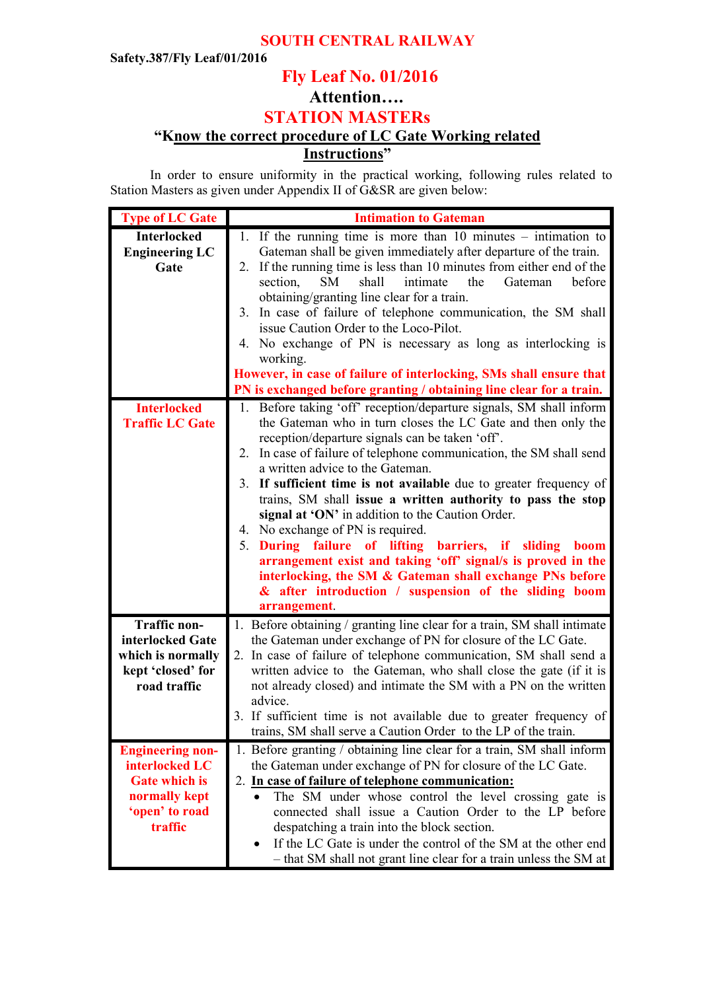#### **SOUTH CENTRAL RAILWAY**

**Safety.387/Fly Leaf/01/2016**

# **Fly Leaf No. 01/2016**

## **Attention….**

## **STATION MASTERs**

### **"Know the correct procedure of LC Gate Working related Instructions"**

In order to ensure uniformity in the practical working, following rules related to Station Masters as given under Appendix II of G&SR are given below:

| <b>Type of LC Gate</b>                                                                                          | <b>Intimation to Gateman</b>                                                                                                                                                                                                                                                                                                                                                                                                                                                                                                                                                                                                                                                                                                                                                                               |
|-----------------------------------------------------------------------------------------------------------------|------------------------------------------------------------------------------------------------------------------------------------------------------------------------------------------------------------------------------------------------------------------------------------------------------------------------------------------------------------------------------------------------------------------------------------------------------------------------------------------------------------------------------------------------------------------------------------------------------------------------------------------------------------------------------------------------------------------------------------------------------------------------------------------------------------|
| <b>Interlocked</b><br><b>Engineering LC</b><br>Gate                                                             | 1. If the running time is more than $10$ minutes – intimation to<br>Gateman shall be given immediately after departure of the train.<br>If the running time is less than 10 minutes from either end of the<br>2.<br>section,<br><b>SM</b><br>shall<br>intimate<br>the<br>Gateman<br>before<br>obtaining/granting line clear for a train.<br>In case of failure of telephone communication, the SM shall<br>3.<br>issue Caution Order to the Loco-Pilot.<br>4. No exchange of PN is necessary as long as interlocking is<br>working.<br>However, in case of failure of interlocking, SMs shall ensure that<br>PN is exchanged before granting / obtaining line clear for a train.                                                                                                                           |
| <b>Interlocked</b><br><b>Traffic LC Gate</b>                                                                    | 1. Before taking 'off' reception/departure signals, SM shall inform<br>the Gateman who in turn closes the LC Gate and then only the<br>reception/departure signals can be taken 'off'.<br>In case of failure of telephone communication, the SM shall send<br>2.<br>a written advice to the Gateman.<br>If sufficient time is not available due to greater frequency of<br>3.<br>trains, SM shall issue a written authority to pass the stop<br>signal at 'ON' in addition to the Caution Order.<br>No exchange of PN is required.<br>4.<br>During failure of lifting barriers, if sliding boom<br>5.<br>arrangement exist and taking 'off' signal/s is proved in the<br>interlocking, the SM & Gateman shall exchange PNs before<br>& after introduction / suspension of the sliding boom<br>arrangement. |
| <b>Traffic non-</b><br>interlocked Gate<br>which is normally<br>kept 'closed' for<br>road traffic               | 1. Before obtaining / granting line clear for a train, SM shall intimate<br>the Gateman under exchange of PN for closure of the LC Gate.<br>2. In case of failure of telephone communication, SM shall send a<br>written advice to the Gateman, who shall close the gate (if it is<br>not already closed) and intimate the SM with a PN on the written<br>advice.<br>3. If sufficient time is not available due to greater frequency of<br>trains, SM shall serve a Caution Order to the LP of the train.                                                                                                                                                                                                                                                                                                  |
| <b>Engineering non-</b><br>interlocked LC<br><b>Gate which is</b><br>normally kept<br>'open' to road<br>traffic | 1. Before granting / obtaining line clear for a train, SM shall inform<br>the Gateman under exchange of PN for closure of the LC Gate.<br>2. In case of failure of telephone communication:<br>The SM under whose control the level crossing gate is<br>connected shall issue a Caution Order to the LP before<br>despatching a train into the block section.<br>If the LC Gate is under the control of the SM at the other end<br>$\bullet$<br>- that SM shall not grant line clear for a train unless the SM at                                                                                                                                                                                                                                                                                          |